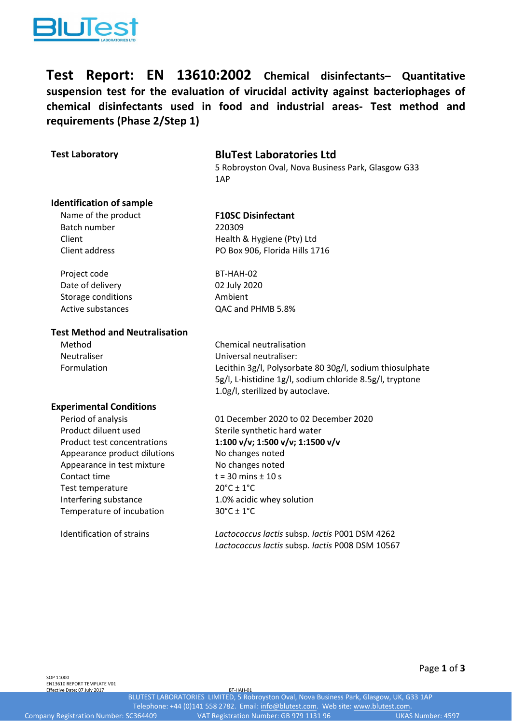

**Test Report: EN 13610:2002 Chemical disinfectants– Quantitative suspension test for the evaluation of virucidal activity against bacteriophages of chemical disinfectants used in food and industrial areas‐ Test method and requirements (Phase 2/Step 1)**

# **Test Laboratory BluTest Laboratories Ltd**

5 Robroyston Oval, Nova Business Park, Glasgow G33 1AP

# **Identification of sample**

# Name of the product **F10SC Disinfectant**

Batch number 220309 Client Client Client Client Client Client Client Client Client Client Client Client Client Client Client Clien Client address PO Box 906, Florida Hills 1716

Project code BT-HAH-02 Storage conditions **Ambient** 

Date of delivery 02 July 2020 Active substances **CAC and PHMB 5.8%** 

### **Test Method and Neutralisation**

Method Chemical neutralisation Neutraliser Universal neutraliser: Formulation Lecithin 3g/l, Polysorbate 80 30g/l, sodium thiosulphate

### **Experimental Conditions**

Product diluent used Sterile synthetic hard water Appearance product dilutions No changes noted Appearance in test mixture No changes noted Contact time  $t = 30$  mins  $\pm 10$  s Test temperature  $20^{\circ}C \pm 1^{\circ}C$ Interfering substance 1.0% acidic whey solution Temperature of incubation  $30^{\circ}C \pm 1^{\circ}C$ 

5g/l, L‐histidine 1g/l, sodium chloride 8.5g/l, tryptone 1.0g/l, sterilized by autoclave.

Period of analysis 01 December 2020 to 02 December 2020 Product test concentrations **1:100 v/v; 1:500 v/v; 1:1500 v/v**

Identification of strains *Lactococcus lactis* subsp*. lactis* P001 DSM 4262 *Lactococcus lactis* subsp*. lactis* P008 DSM 10567

SOP 11000 EN13610 REPORT TEMPLATE V01 Effective Date: 07 July 2017

Page **1** of **3**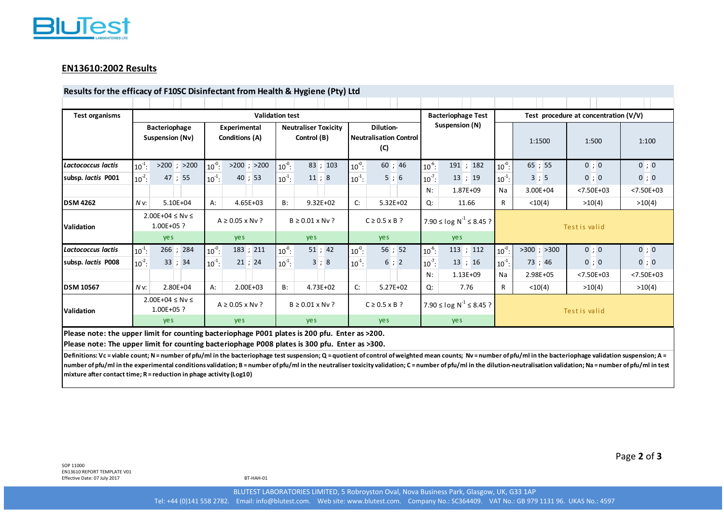

# **EN13610:2002 Results**

#### **Results for the efficacy of F10SC Disinfectant from Health & Hygiene (Pty) Ltd**

| <b>Test organisms</b>     | <b>Validation test</b>                      |                 |                                |                 |                                            |              |                                                   |              |                              | <b>Bacteriophage Test</b>     |               | Test procedure at concentration (V/V) |                |                |  |
|---------------------------|---------------------------------------------|-----------------|--------------------------------|-----------------|--------------------------------------------|--------------|---------------------------------------------------|--------------|------------------------------|-------------------------------|---------------|---------------------------------------|----------------|----------------|--|
|                           | <b>Bacteriophage</b><br>Suspension (Nv)     |                 | Experimental<br>Conditions (A) |                 | <b>Neutraliser Toxicity</b><br>Control (B) |              | Dilution-<br><b>Neutralisation Control</b><br>(C) |              | Suspension (N)               |                               |               | 1:1500                                | 1:500          | 1:100          |  |
| <b>Lactococcus lactis</b> | $10^{-1}$ :                                 | $>200$ ; $>200$ | $10^{0}$ :                     | $>200$ ; $>200$ | $10^{-0}$ :                                | 83 ; 103     | $10^{-0}$ :                                       | 60; 46       | $10^{-6}$ :                  | 191 ; 182                     | $10^{-0}$ :   | 65 ; 55                               | 0;0            | 0; 0           |  |
| subsp. lactis P001        | $10^{-2}$ :                                 | 47 ; 55         | $10^{-1}$ :                    | 40; 53          | $10^{-1}$ :                                | 11;8         | $10^{-1}$ :                                       | 5;6          | $10^{-7}$ :                  | 13; 19                        | $10^{-1}$ :   | 3;5                                   | 0;0            | 0; 0           |  |
|                           |                                             |                 |                                |                 |                                            |              |                                                   |              | N:                           | 1.87E+09                      | Na            | 3.00E+04                              | $< 7.50E + 03$ | $< 7.50E + 03$ |  |
| <b>DSM 4262</b>           | $NV$ :                                      | $5.10E + 04$    | А:                             | $4.65E + 03$    | B:                                         | $9.32E + 02$ | C:                                                | $5.32E+02$   | Q:                           | 11.66                         | R             | < 10(4)                               | >10(4)         | >10(4)         |  |
| Validation                | $2.00E + 04 \leq Nv \leq$<br>$1.00E + 05$ ? |                 | $A \geq 0.05 \times Nv$ ?      |                 | $B \ge 0.01 \times Nv$ ?                   |              | $C \geq 0.5 \times B$ ?                           |              | 7.90 ≤ log $N^{-1}$ ≤ 8.45 ? |                               | Test is valid |                                       |                |                |  |
|                           | yes                                         |                 | yes                            |                 | ye s                                       |              | ye s                                              |              | yes.                         |                               |               |                                       |                |                |  |
| Lactococcus lactis        | $10^{-1}$ :                                 | 266 ; 284       | $10^{0}$ :                     | 183 ; 211       | $10^{-0}$ :                                | 51; 42       | $10^{-0}$ :                                       | 56; 52       | $10^{-6}$ :                  | 113 ; 112                     | $10^{-0}$     | $>300$ ; $>300$                       | 0;0            | 0;0            |  |
| subsp. lactis P008        | $10^{-2}$ :                                 | 33; 34          | $10^{-1}$ :                    | 21; 24          | $10^{-1}$ :                                | 3;8          | $10^{-1}$ :                                       | 6; 2         | $10^{-7}$ :                  | 13; 16                        | $10^{-1}$ :   | 73 ; 46                               | 0;0            | 0; 0           |  |
|                           |                                             |                 |                                |                 |                                            |              |                                                   |              | N:                           | 1.13E+09                      | Na            | 2.98E+05                              | $< 7.50E + 03$ | $< 7.50E + 03$ |  |
| <b>DSM 10567</b>          | $NV$ :                                      | 2.80E+04        | $A$ :                          | $2.00E + 03$    | $B$ :                                      | 4.73E+02     | C:                                                | $5.27E + 02$ | Q:                           | 7.76                          | R.            | < 10(4)                               | >10(4)         | >10(4)         |  |
| Validation                | $2.00E+04 ≤ Ny ≤$<br>$1.00E + 05$ ?         |                 | $A \geq 0.05 \times Nv$ ?      |                 | $B \ge 0.01 \times Nv$ ?                   |              | $C \geq 0.5 \times B$ ?                           |              |                              | 7.90 ≤ l og $N^{-1}$ ≤ 8.45 ? |               | Test is valid                         |                |                |  |
|                           |                                             | yes.            |                                | <b>yes</b>      |                                            | <b>yes</b>   |                                                   | yes.         |                              | ye s                          |               |                                       |                |                |  |

**Please note: The upper limit for counting bacteriophage P008 plates is 300 pfu. Enter as >300.**

Definitions: Vc = viable count; N = number of pfu/ml in the bacteriophage test suspension; Q = quotient of control of weighted mean counts; Nv = number of pfu/ml in the bacteriophage validation suspension; A = number of pfu/ml in the experimental conditions validation; B = number of pfu/ml in the neutraliser toxicity validation; C = number of pfu/ml in the dilution-neutralisation validation; Na = number of pfu/ml in test **mixture after contact time; R <sup>=</sup> reduction in phage activity (Log10)**